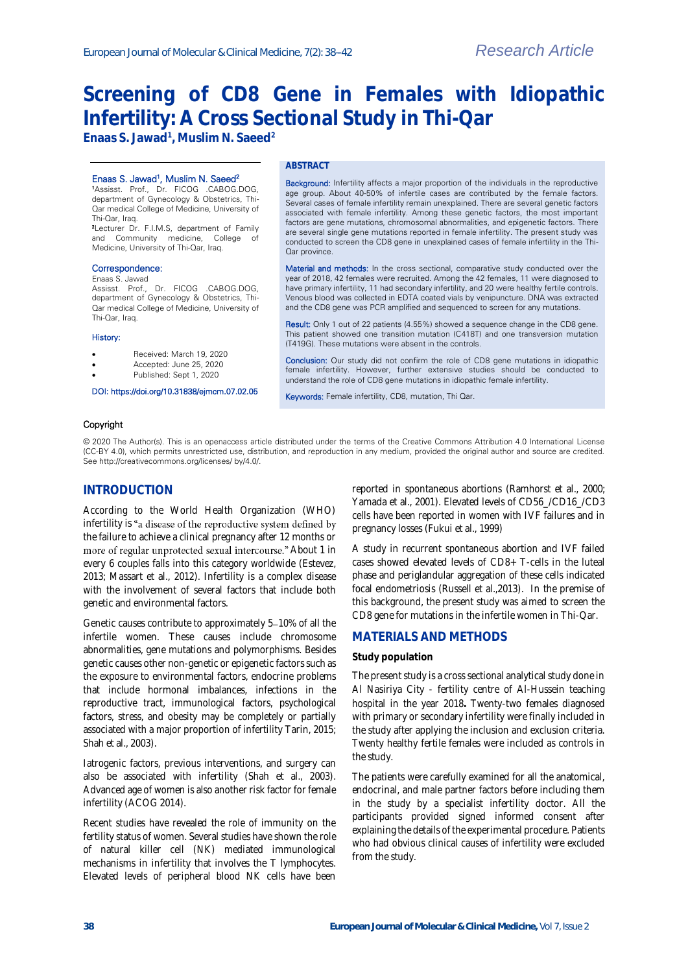# **Screening of CD8 Gene in Females with Idiopathic Infertility: A Cross Sectional Study in Thi-Qar**

**Enaas S. Jawad<sup>1</sup> , Muslim N. Saeed<sup>2</sup>**

#### Enaas S. Jawad<sup>1</sup>, Muslim N. Saeed<sup>2</sup>

<sup>1</sup>Assisst. Prof., Dr. FICOG .CABOG.DOG, department of Gynecology & Obstetrics, Thi-Qar medical College of Medicine, University of Thi-Qar, Iraq.

<sup>2</sup>Lecturer Dr. F.I.M.S, department of Family and Community medicine, College of Medicine, University of Thi-Qar, Iraq.

#### Correspondence:

#### Enaas S. Jawad

Assisst. Prof., Dr. FICOG .CABOG.DOG, department of Gynecology & Obstetrics, Thi-Qar medical College of Medicine, University of Thi-Qar, Iraq.

#### History:

- Received: March 19, 2020
- Accepted: June 25, 2020
- Published: Sept 1, 2020

## DOI: https://doi.org/10.31838/ejmcm.07.02.05

#### **ABSTRACT**

Background: Infertility affects a major proportion of the individuals in the reproductive age group. About 40-50% of infertile cases are contributed by the female factors. Several cases of female infertility remain unexplained. There are several genetic factors associated with female infertility. Among these genetic factors, the most important factors are gene mutations, chromosomal abnormalities, and epigenetic factors. There are several single gene mutations reported in female infertility. The present study was conducted to screen the CD8 gene in unexplained cases of female infertility in the Thi-Qar province.

Material and methods: In the cross sectional, comparative study conducted over the year of 2018, 42 females were recruited. Among the 42 females, 11 were diagnosed to have primary infertility, 11 had secondary infertility, and 20 were healthy fertile controls. Venous blood was collected in EDTA coated vials by venipuncture. DNA was extracted and the CD8 gene was PCR amplified and sequenced to screen for any mutations.

Result: Only 1 out of 22 patients (4.55%) showed a sequence change in the CD8 gene. This patient showed one transition mutation (C418T) and one transversion mutation (T419G). These mutations were absent in the controls.

Conclusion: Our study did not confirm the role of CD8 gene mutations in idiopathic female infertility. However, further extensive studies should be conducted to understand the role of CD8 gene mutations in idiopathic female infertility.

Keywords: Female infertility, CD8, mutation, Thi Qar.

### Copyright

© 2020 The Author(s). This is an openaccess article distributed under the terms of the Creative Commons Attribution 4.0 International License (CC-BY 4.0), which permits unrestricted use, distribution, and reproduction in any medium, provided the original author and source are credited. See http://creativecommons.org/licenses/ by/4.0/.

## **INTRODUCTION**

According to the World Health Organization (WHO) infertility is "a disease of the reproductive system defined by the failure to achieve a clinical pregnancy after 12 months or more of regular unprotected sexual intercourse." About 1 in every 6 couples falls into this category worldwide (Estevez, 2013; Massart et al., 2012). Infertility is a complex disease with the involvement of several factors that include both genetic and environmental factors.

Genetic causes contribute to approximately 5-10% of all the infertile women. These causes include chromosome abnormalities, gene mutations and polymorphisms. Besides genetic causes other non-genetic or epigenetic factors such as the exposure to environmental factors, endocrine problems that include hormonal imbalances, infections in the reproductive tract, immunological factors, psychological factors, stress, and obesity may be completely or partially associated with a major proportion of infertility Tarin, 2015; Shah et al., 2003).

Iatrogenic factors, previous interventions, and surgery can also be associated with infertility (Shah et al., 2003). Advanced age of women is also another risk factor for female infertility (ACOG 2014).

Recent studies have revealed the role of immunity on the fertility status of women. Several studies have shown the role of natural killer cell (NK) mediated immunological mechanisms in infertility that involves the T lymphocytes. Elevated levels of peripheral blood NK cells have been

reported in spontaneous abortions (Ramhorst et al., 2000; Yamada et al., 2001). Elevated levels of CD56\_/CD16\_/CD3 cells have been reported in women with IVF failures and in pregnancy losses (Fukui et al., 1999)

A study in recurrent spontaneous abortion and IVF failed cases showed elevated levels of CD8+ T-cells in the luteal phase and periglandular aggregation of these cells indicated focal endometriosis (Russell et al.,2013). In the premise of this background, the present study was aimed to screen the CD8 gene for mutations in the infertile women in Thi-Qar.

## **MATERIALS AND METHODS**

#### **Study population**

The present study is a cross sectional analytical study done in Al Nasiriya City - fertility centre of Al-Hussein teaching hospital in the year 2018**.** Twenty-two females diagnosed with primary or secondary infertility were finally included in the study after applying the inclusion and exclusion criteria. Twenty healthy fertile females were included as controls in the study.

The patients were carefully examined for all the anatomical, endocrinal, and male partner factors before including them in the study by a specialist infertility doctor. All the participants provided signed informed consent after explaining the details of the experimental procedure. Patients who had obvious clinical causes of infertility were excluded from the study.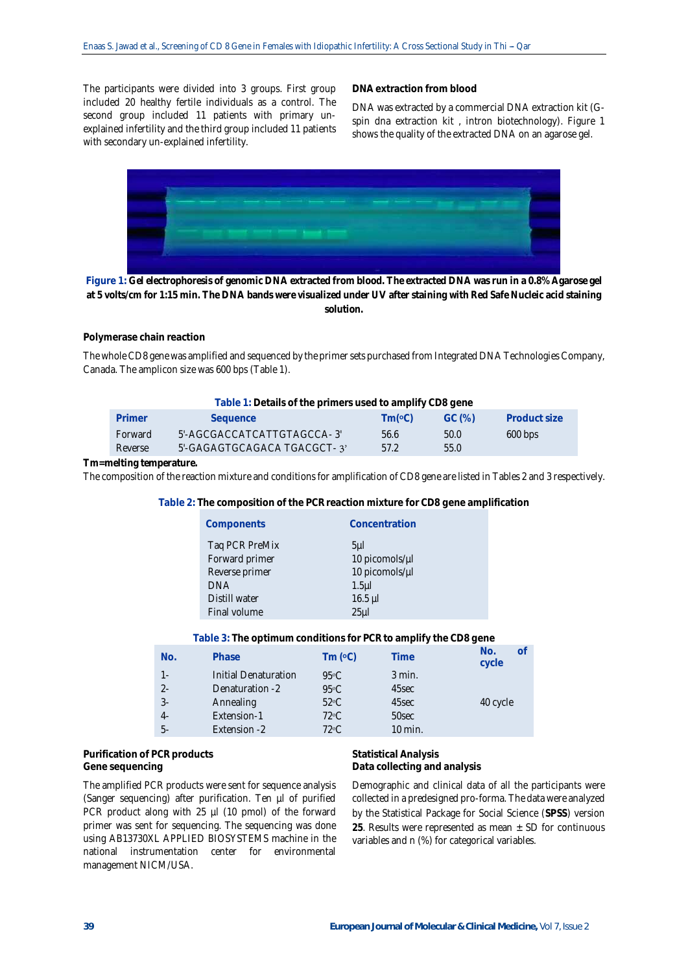The participants were divided into 3 groups. First group included 20 healthy fertile individuals as a control. The second group included 11 patients with primary unexplained infertility and the third group included 11 patients with secondary un-explained infertility.

**DNA extraction from blood**

DNA was extracted by a commercial DNA extraction kit (Gspin dna extraction kit , intron biotechnology). Figure 1 shows the quality of the extracted DNA on an agarose gel.



**Figure 1: Gel electrophoresis of genomic DNA extracted from blood. The extracted DNA was run in a 0.8% Agarose gel at 5 volts/cm for 1:15 min. The DNA bands were visualized under UV after staining with Red Safe Nucleic acid staining solution.**

## **Polymerase chain reaction**

The whole CD8 gene was amplified and sequenced by the primer sets purchased from Integrated DNA Technologies Company, Canada. The amplicon size was 600 bps (Table 1).

| Table 1: Details of the primers used to amplify CD8 gene |                             |                                     |        |              |  |  |
|----------------------------------------------------------|-----------------------------|-------------------------------------|--------|--------------|--|--|
| Primer                                                   | Sequence                    | $\mathsf{Im}(\mathsf{O}\mathsf{C})$ | GC (%) | Product size |  |  |
| Forward                                                  | 5'-AGCGACCATCATTGTAGCCA-3'  | 56.6                                | 50.0   | $600$ bps    |  |  |
| Reverse                                                  | 5'-GAGAGTGCAGACA TGACGCT-3' | 57.2                                | 55.0   |              |  |  |
|                                                          |                             |                                     |        |              |  |  |

**Tm=melting temperature.**

The composition of the reaction mixture and conditions for amplification of CD8 gene are listed in Tables 2 and 3 respectively.

**Table 2: The composition of the PCR reaction mixture for CD8 gene amplification**

|                                                                                                                                                                                                            | Components | Concentration |
|------------------------------------------------------------------------------------------------------------------------------------------------------------------------------------------------------------|------------|---------------|
| Taq PCR PreMix<br>5 <sub>µ</sub><br>Forward primer<br>10 picomols/µl<br>10 picomols/µl<br>Reverse primer<br><b>DNA</b><br>1.5 <sub>µ</sub><br>$16.5$ µ<br>Distill water<br>Final volume<br>25 <sub>µ</sub> |            |               |

|       | Table 3: The optimum conditions for PCR to amplify the CD8 gene |                   |          |                           |
|-------|-----------------------------------------------------------------|-------------------|----------|---------------------------|
| No.   | Phase                                                           | $Tm$ ( $\circ$ C) | Time     | <b>of</b><br>No.<br>cycle |
| $1 -$ | Initial Denaturation                                            | $95\degree$ C     | $3$ min. |                           |
| $2 -$ | Denaturation -2                                                 | 95°C              | 45sec    |                           |
| $3-$  | Annealing                                                       | $52^{\circ}$ C    | 45sec    | 40 cycle                  |
| $4-$  | Extension-1                                                     | $72^{\circ}$ C    | 50sec    |                           |
| 5-    | Extension -2                                                    | $72^{\circ}$ C    | 10 min.  |                           |
|       |                                                                 |                   |          |                           |

**Purification of PCR products Gene sequencing**

The amplified PCR products were sent for sequence analysis (Sanger sequencing) after purification. Ten µl of purified PCR product along with 25 µl (10 pmol) of the forward primer was sent for sequencing. The sequencing was done using AB13730XL APPLIED BIOSYSTEMS machine in the national instrumentation center for environmental management NICM/USA.

**Statistical Analysis Data collecting and analysis**

Demographic and clinical data of all the participants were collected in a predesigned pro-forma. The data were analyzed by the Statistical Package for Social Science (**SPSS**) version **25**. Results were represented as mean ± SD for continuous variables and n (%) for categorical variables.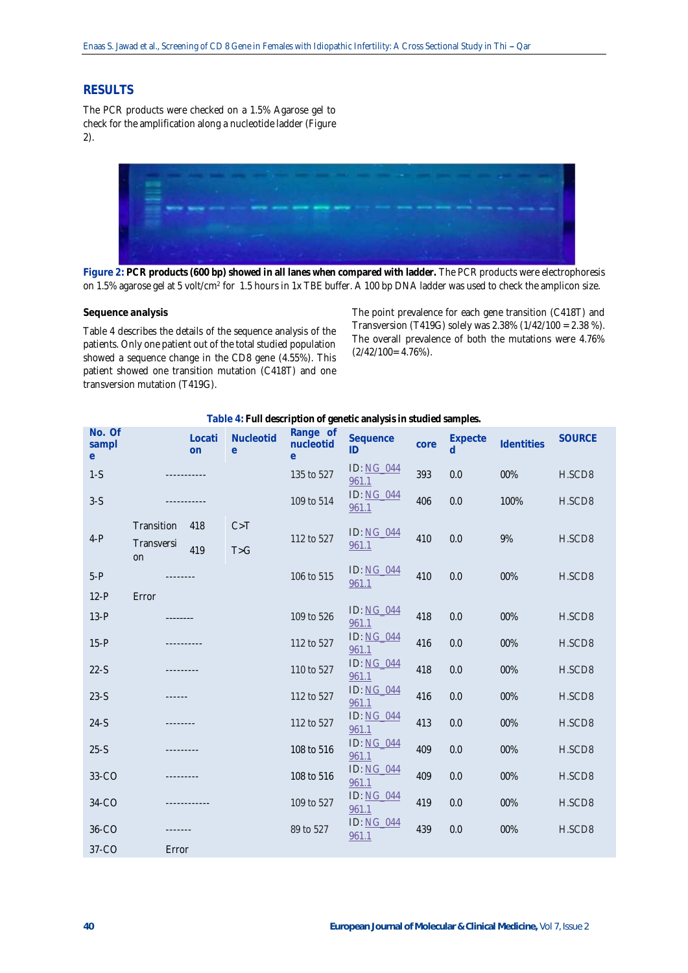# **RESULTS**

The PCR products were checked on a 1.5% Agarose gel to check for the amplification along a nucleotide ladder (Figure 2).



**Figure 2: PCR products (600 bp) showed in all lanes when compared with ladder.** The PCR products were electrophoresis on 1.5% agarose gel at 5 volt/cm<sup>2</sup> for 1.5 hours in 1x TBE buffer. A 100 bp DNA ladder was used to check the amplicon size.

**Sequence analysis**

Table 4 describes the details of the sequence analysis of the patients. Only one patient out of the total studied population showed a sequence change in the CD8 gene (4.55%). This patient showed one transition mutation (C418T) and one transversion mutation (T419G).

The point prevalence for each gene transition (C418T) and Transversion (T419G) solely was 2.38% (1/42/100 = 2.38 %). The overall prevalence of both the mutations were 4.76%  $(2/42/100= 4.76\%).$ 

| No. Of<br>sampl<br>e <sub>1</sub> |                  | Locati<br>on | Nucleotid<br>e | Range of<br>nucleotid<br>e | Sequence<br>ID             | core | Expecte<br>d | <b>Identities</b> | <b>SOURCE</b> |
|-----------------------------------|------------------|--------------|----------------|----------------------------|----------------------------|------|--------------|-------------------|---------------|
| $1-S$                             |                  |              | 135 to 527     | <b>ID: NG 044</b><br>961.1 | 393                        | 0.0  | 00%          | H.SCD8            |               |
| $3-S$                             |                  |              |                | 109 to 514                 | <b>ID: NG 044</b><br>961.1 | 406  | 0.0          | 100%              | H.SCD8        |
|                                   | Transition       | 418          | C > T          |                            | ID: NG 044                 |      |              |                   |               |
| $4-P$                             | Transversi<br>on | 419          | T > G          | 112 to 527                 | 961.1                      | 410  | 0.0          | 9%                | H.SCD8        |
| $5-P$                             | --------         |              |                | 106 to 515                 | <b>ID: NG 044</b><br>961.1 | 410  | 0.0          | 00%               | H.SCD8        |
| $12-P$                            | Error            |              |                |                            |                            |      |              |                   |               |
| $13-P$                            |                  |              |                | 109 to 526                 | <b>ID: NG 044</b><br>961.1 | 418  | 0.0          | 00%               | H.SCD8        |
| $15-P$                            |                  |              |                | 112 to 527                 | <b>ID: NG 044</b><br>961.1 | 416  | 0.0          | 00%               | H.SCD8        |
| $22-S$                            |                  | ---------    |                | 110 to 527                 | ID: NG 044<br>961.1        | 418  | 0.0          | 00%               | H.SCD8        |
| $23-S$                            | ------           |              |                | 112 to 527                 | ID: NG 044<br>961.1        | 416  | 0.0          | 00%               | H.SCD8        |
| $24-S$                            |                  |              |                | 112 to 527                 | ID: NG 044<br>961.1        | 413  | 0.0          | 00%               | H.SCD8        |
| $25-S$                            |                  |              |                | 108 to 516                 | <b>ID: NG 044</b><br>961.1 | 409  | 0.0          | 00%               | H.SCD8        |
| 33-CO                             |                  |              |                | 108 to 516                 | ID: NG 044<br>961.1        | 409  | 0.0          | 00%               | H.SCD8        |
| 34-CO                             |                  |              |                | 109 to 527                 | ID: NG 044<br>961.1        | 419  | 0.0          | 00%               | H.SCD8        |
| 36-CO                             |                  |              |                | 89 to 527                  | <b>ID: NG 044</b><br>961.1 | 439  | 0.0          | 00%               | H.SCD8        |
| $37-CO$                           | Error            |              |                |                            |                            |      |              |                   |               |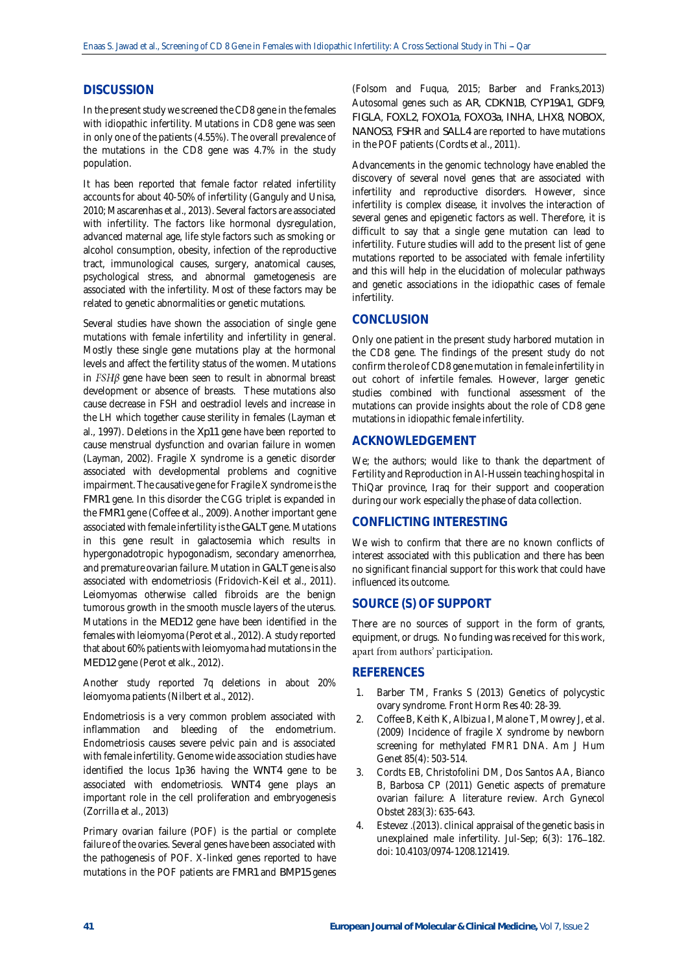## **DISCUSSION**

In the present study we screened the CD8 gene in the females with idiopathic infertility. Mutations in CD8 gene was seen in only one of the patients (4.55%). The overall prevalence of the mutations in the CD8 gene was 4.7% in the study population.

It has been reported that female factor related infertility accounts for about 40-50% of infertility (Ganguly and Unisa, 2010; Mascarenhas et al., 2013). Several factors are associated with infertility. The factors like hormonal dysregulation, advanced maternal age, life style factors such as smoking or alcohol consumption, obesity, infection of the reproductive tract, immunological causes, surgery, anatomical causes, psychological stress, and abnormal gametogenesis are associated with the infertility. Most of these factors may be related to genetic abnormalities or genetic mutations.

Several studies have shown the association of single gene mutations with female infertility and infertility in general. Mostly these single gene mutations play at the hormonal levels and affect the fertility status of the women. Mutations in  $FSHB$  gene have been seen to result in abnormal breast development or absence of breasts. These mutations also cause decrease in FSH and oestradiol levels and increase in the LH which together cause sterility in females (Layman et al., 1997). Deletions in the *Xp11* gene have been reported to cause menstrual dysfunction and ovarian failure in women (Layman, 2002). Fragile X syndrome is a genetic disorder associated with developmental problems and cognitive impairment. The causative gene for Fragile X syndrome is the *FMR1* gene. In this disorder the CGG triplet is expanded in the *FMR1* gene (Coffee et al., 2009). Another important gene associated with female infertility is the *GALT* gene. Mutations in this gene result in galactosemia which results in hypergonadotropic hypogonadism, secondary amenorrhea, and premature ovarian failure. Mutation in *GALT* gene is also associated with endometriosis (Fridovich-Keil et al., 2011). Leiomyomas otherwise called fibroids are the benign tumorous growth in the smooth muscle layers of the uterus. Mutations in the *MED12* gene have been identified in the females with leiomyoma (Perot et al., 2012). A study reported that about 60% patients with leiomyoma had mutations in the *MED12* gene (Perot et alk., 2012).

Another study reported 7q deletions in about 20% leiomyoma patients (Nilbert et al., 2012).

Endometriosis is a very common problem associated with inflammation and bleeding of the endometrium. Endometriosis causes severe pelvic pain and is associated with female infertility. Genome wide association studies have identified the locus 1p36 having the *WNT4* gene to be associated with endometriosis. *WNT4* gene plays an important role in the cell proliferation and embryogenesis (Zorrilla et al., 2013)

Primary ovarian failure (POF) is the partial or complete failure of the ovaries. Several genes have been associated with the pathogenesis of POF. X-linked genes reported to have mutations in the POF patients are *FMR1* and *BMP15* genes

(Folsom and Fuqua, 2015; Barber and Franks,2013) Autosomal genes such as *AR*, *CDKN1B*, *CYP19A1*, *GDF9*, *FIGLA*, *FOXL2*, *FOXO1a*, *FOXO3a*, *INHA*, *LHX8*, *NOBOX*, *NANOS3*, *FSHR* and *SALL4* are reported to have mutations in the POF patients (Cordts et al., 2011).

Advancements in the genomic technology have enabled the discovery of several novel genes that are associated with infertility and reproductive disorders. However, since infertility is complex disease, it involves the interaction of several genes and epigenetic factors as well. Therefore, it is difficult to say that a single gene mutation can lead to infertility. Future studies will add to the present list of gene mutations reported to be associated with female infertility and this will help in the elucidation of molecular pathways and genetic associations in the idiopathic cases of female infertility.

## **CONCLUSION**

Only one patient in the present study harbored mutation in the CD8 gene. The findings of the present study do not confirm the role of CD8 gene mutation in female infertility in out cohort of infertile females. However, larger genetic studies combined with functional assessment of the mutations can provide insights about the role of CD8 gene mutations in idiopathic female infertility.

## **ACKNOWLEDGEMENT**

We; the authors; would like to thank the department of Fertility and Reproduction in Al-Hussein teaching hospital in ThiQar province, Iraq for their support and cooperation during our work especially the phase of data collection.

# **CONFLICTING INTERESTING**

We wish to confirm that there are no known conflicts of interest associated with this publication and there has been no significant financial support for this work that could have influenced its outcome.

## **SOURCE (S) OF SUPPORT**

There are no sources of support in the form of grants, equipment, or drugs. No funding was received for this work, apart from authors' participation.

## **REFERENCES**

- 1. Barber TM, Franks S (2013) Genetics of polycystic ovary syndrome. Front Horm Res 40: 28-39.
- 2. Coffee B, Keith K, Albizua I, Malone T, Mowrey J, et al. (2009) Incidence of fragile X syndrome by newborn screening for methylated FMR1 DNA. Am J Hum Genet 85(4): 503-514.
- 3. Cordts EB, Christofolini DM, Dos Santos AA, Bianco B, Barbosa CP (2011) Genetic aspects of premature ovarian failure: A literature review. Arch Gynecol Obstet 283(3): 635-643.
- 4. Estevez .(2013). clinical appraisal of the genetic basis in unexplained male infertility. Jul-Sep; 6(3): 176-182. doi: [10.4103/0974-1208.121419.](https://dx.doi.org/10.4103%2F0974-1208.121419)